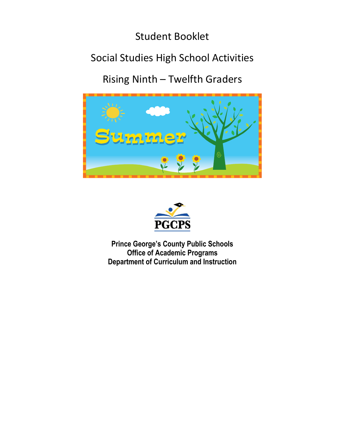### Student Booklet

# Social Studies High School Activities

Rising Ninth – Twelfth Graders





**Prince George's County Public Schools Office of Academic Programs Department of Curriculum and Instruction**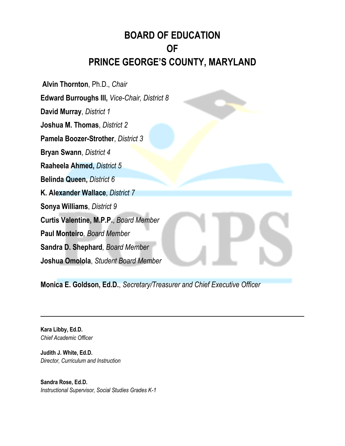## **BOARD OF EDUCATION OF PRINCE GEORGE'S COUNTY, MARYLAND**

**Alvin Thornton**, Ph.D., *Chair* **Edward Burroughs III,** *Vice-Chair, District 8* **David Murray**, *District 1* **Joshua M. Thomas**, *District 2* **Pamela Boozer-Strother**, *District 3* **Bryan Swann**, *District 4* **Raaheela Ahmed,** *District 5* **Belinda Queen,** *District 6* **K. Alexander Wallace**, *District 7* **Sonya Williams**, *District 9* **Curtis Valentine, M.P.P.**, *Board Member* **Paul Monteiro***, Board Member* **Sandra D. Shephard***, Board Member* **Joshua Omolola**, *Student Board Member*

**Monica E. Goldson, Ed.D.**, *Secretary/Treasurer and Chief Executive Officer*

**Kara Libby, Ed.D.** *Chief Academic Officer*

**Judith J. White, Ed.D.** *Director, Curriculum and Instruction*

**Sandra Rose, Ed.D.** *Instructional Supervisor, Social Studies Grades K-1*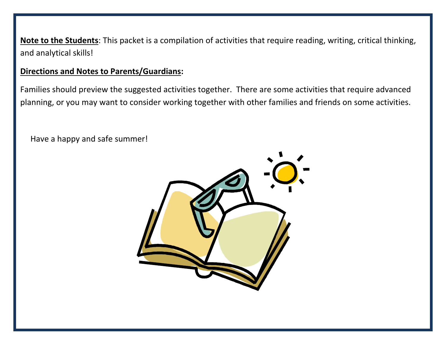**Note to the Students**: This packet is a compilation of activities that require reading, writing, critical thinking, and analytical skills!

#### **Directions and Notes to Parents/Guardians:**

Families should preview the suggested activities together. There are some activities that require advanced planning, or you may want to consider working together with other families and friends on some activities.

Have a happy and safe summer!

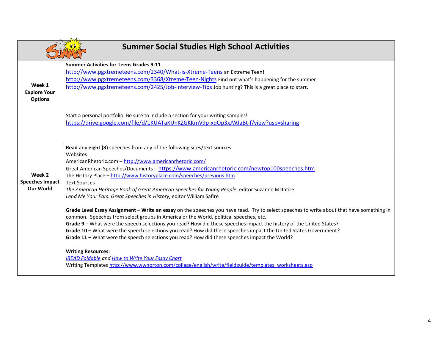| <b>Summer Social Studies High School Activities</b> |                                                                                                                                                                                                                                    |  |  |  |
|-----------------------------------------------------|------------------------------------------------------------------------------------------------------------------------------------------------------------------------------------------------------------------------------------|--|--|--|
|                                                     | <b>Summer Activities for Teens Grades 9-11</b><br>http://www.pgxtremeteens.com/2340/What-is-Xtreme-Teens an Extreme Teen!                                                                                                          |  |  |  |
|                                                     | http://www.pgxtremeteens.com/3368/Xtreme-Teen-Nights Find out what's happening for the summer!                                                                                                                                     |  |  |  |
| Week 1<br><b>Explore Your</b>                       | http://www.pgxtremeteens.com/2425/Job-Interview-Tips Job hunting? This is a great place to start.                                                                                                                                  |  |  |  |
| <b>Options</b>                                      |                                                                                                                                                                                                                                    |  |  |  |
|                                                     | Start a personal portfolio. Be sure to include a section for your writing samples!                                                                                                                                                 |  |  |  |
|                                                     | https://drive.google.com/file/d/1KUATaKUnKZGKKmV9p-xqOp3xJWJaBt-f/view?usp=sharing                                                                                                                                                 |  |  |  |
|                                                     |                                                                                                                                                                                                                                    |  |  |  |
|                                                     | Read any eight (8) speeches from any of the following sites/text sources:<br>Websites                                                                                                                                              |  |  |  |
|                                                     | AmericanRhetoric.com - http://www.americanrhetoric.com/                                                                                                                                                                            |  |  |  |
|                                                     | Great American Speeches/Documents - https://www.americanrhetoric.com/newtop100speeches.htm                                                                                                                                         |  |  |  |
| Week 2                                              | The History Place - http://www.historyplace.com/speeches/previous.htm                                                                                                                                                              |  |  |  |
| <b>Speeches Impact</b><br><b>Our World</b>          | <b>Text Sources</b><br>The American Heritage Book of Great American Speeches for Young People, editor Suzanne McIntire                                                                                                             |  |  |  |
|                                                     | Lend Me Your Ears: Great Speeches in History, editor William Safire                                                                                                                                                                |  |  |  |
|                                                     | Grade Level Essay Assignment - Write an essay on the speeches you have read. Try to select speeches to write about that have something in<br>common. Speeches from select groups in America or the World, political speeches, etc. |  |  |  |
|                                                     | Grade 9 - What were the speech selections you read? How did these speeches impact the history of the United States?                                                                                                                |  |  |  |
|                                                     | Grade 10 - What were the speech selections you read? How did these speeches impact the United States Government?<br>Grade 11 - What were the speech selections you read? How did these speeches impact the World?                  |  |  |  |
|                                                     | <b>Writing Resources:</b>                                                                                                                                                                                                          |  |  |  |
|                                                     | <b>IREAD Foldable and How to Write Your Essay Chart</b><br>Writing Templates http://www.wwnorton.com/college/english/write/fieldguide/templates worksheets.asp                                                                     |  |  |  |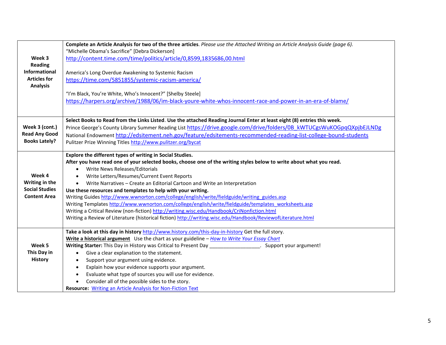|                                                                                                                                                                                                    | Complete an Article Analysis for two of the three articles. Please use the Attached Writing an Article Analysis Guide (page 6).                                                   |  |  |  |  |
|----------------------------------------------------------------------------------------------------------------------------------------------------------------------------------------------------|-----------------------------------------------------------------------------------------------------------------------------------------------------------------------------------|--|--|--|--|
|                                                                                                                                                                                                    | "Michelle Obama's Sacrifice" [Debra Dickerson]                                                                                                                                    |  |  |  |  |
| Week 3                                                                                                                                                                                             | http://content.time.com/time/politics/article/0,8599,1835686,00.html                                                                                                              |  |  |  |  |
| <b>Reading</b>                                                                                                                                                                                     |                                                                                                                                                                                   |  |  |  |  |
| Informational                                                                                                                                                                                      | America's Long Overdue Awakening to Systemic Racism                                                                                                                               |  |  |  |  |
| <b>Articles for</b>                                                                                                                                                                                | https://time.com/5851855/systemic-racism-america/                                                                                                                                 |  |  |  |  |
| <b>Analysis</b>                                                                                                                                                                                    |                                                                                                                                                                                   |  |  |  |  |
|                                                                                                                                                                                                    | "I'm Black, You're White, Who's Innocent?" [Shelby Steele]                                                                                                                        |  |  |  |  |
|                                                                                                                                                                                                    | https://harpers.org/archive/1988/06/im-black-youre-white-whos-innocent-race-and-power-in-an-era-of-blame/                                                                         |  |  |  |  |
|                                                                                                                                                                                                    |                                                                                                                                                                                   |  |  |  |  |
|                                                                                                                                                                                                    | Select Books to Read from the Links Listed. Use the attached Reading Journal Enter at least eight (8) entries this week.                                                          |  |  |  |  |
| Week 3 (cont.)                                                                                                                                                                                     | Prince George's County Library Summer Reading List https://drive.google.com/drive/folders/0B kWTUCgsWuKOGpqQXpjbEJLNDg                                                            |  |  |  |  |
| <b>Read Any Good</b>                                                                                                                                                                               | National Endowment http://edsitement.neh.gov/feature/edsitements-recommended-reading-list-college-bound-students                                                                  |  |  |  |  |
| <b>Books Lately?</b>                                                                                                                                                                               | Pulitzer Prize Winning Titles http://www.pulitzer.org/bycat                                                                                                                       |  |  |  |  |
|                                                                                                                                                                                                    |                                                                                                                                                                                   |  |  |  |  |
|                                                                                                                                                                                                    | Explore the different types of writing in Social Studies.<br>After you have read one of your selected books, choose one of the writing styles below to write about what you read. |  |  |  |  |
|                                                                                                                                                                                                    | Write News Releases/Editorials<br>$\bullet$                                                                                                                                       |  |  |  |  |
| Week 4                                                                                                                                                                                             |                                                                                                                                                                                   |  |  |  |  |
| Writing in the                                                                                                                                                                                     | Write Letters/Resumes/Current Event Reports                                                                                                                                       |  |  |  |  |
| <b>Social Studies</b>                                                                                                                                                                              | Write Narratives - Create an Editorial Cartoon and Write an Interpretation<br>$\bullet$                                                                                           |  |  |  |  |
| <b>Content Area</b>                                                                                                                                                                                | Use these resources and templates to help with your writing.                                                                                                                      |  |  |  |  |
|                                                                                                                                                                                                    | Writing Guides http://www.wwnorton.com/college/english/write/fieldguide/writing guides.asp                                                                                        |  |  |  |  |
| Writing Templates http://www.wwnorton.com/college/english/write/fieldguide/templates worksheets.asp<br>Writing a Critical Review (non-fiction) http://writing.wisc.edu/Handbook/CriNonfiction.html |                                                                                                                                                                                   |  |  |  |  |
|                                                                                                                                                                                                    | Writing a Review of Literature (historical fiction) http://writing.wisc.edu/Handbook/ReviewofLiterature.html                                                                      |  |  |  |  |
|                                                                                                                                                                                                    |                                                                                                                                                                                   |  |  |  |  |
|                                                                                                                                                                                                    | Take a look at this day in history http://www.history.com/this-day-in-history Get the full story.                                                                                 |  |  |  |  |
| Write a historical argument Use the chart as your guideline - How to Write Your Essay Chart                                                                                                        |                                                                                                                                                                                   |  |  |  |  |
| Week 5                                                                                                                                                                                             | Writing Starter: This Day in History was Critical to Present Day _____________________. Support your argument!                                                                    |  |  |  |  |
| This Day in                                                                                                                                                                                        | Give a clear explanation to the statement.<br>$\bullet$                                                                                                                           |  |  |  |  |
| <b>History</b>                                                                                                                                                                                     | Support your argument using evidence.                                                                                                                                             |  |  |  |  |
|                                                                                                                                                                                                    | Explain how your evidence supports your argument.                                                                                                                                 |  |  |  |  |
|                                                                                                                                                                                                    | Evaluate what type of sources you will use for evidence.<br>$\bullet$                                                                                                             |  |  |  |  |
|                                                                                                                                                                                                    | Consider all of the possible sides to the story.                                                                                                                                  |  |  |  |  |
|                                                                                                                                                                                                    | <b>Resource: Writing an Article Analysis for Non-Fiction Text</b>                                                                                                                 |  |  |  |  |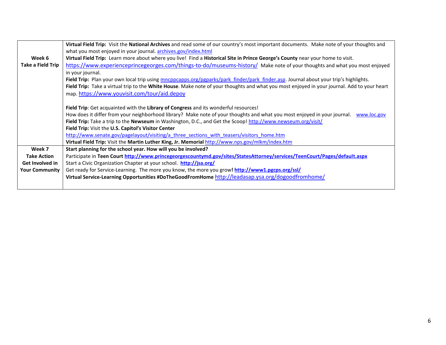|                       | Virtual Field Trip: Visit the National Archives and read some of our country's most important documents. Make note of your thoughts and     |  |  |  |  |
|-----------------------|---------------------------------------------------------------------------------------------------------------------------------------------|--|--|--|--|
|                       | what you most enjoyed in your journal. archives.gov/index.html                                                                              |  |  |  |  |
| Week 6                | Virtual Field Trip: Learn more about where you live! Find a Historical Site in Prince George's County near your home to visit.              |  |  |  |  |
| Take a Field Trip     | https://www.experienceprincegeorges.com/things-to-do/museums-history/ Make note of your thoughts and what you most enjoyed                  |  |  |  |  |
|                       | in your journal.                                                                                                                            |  |  |  |  |
|                       | Field Trip: Plan your own local trip using mncppcapps.org/pgparks/park finder/park finder.asp. Journal about your trip's highlights.        |  |  |  |  |
|                       | Field Trip: Take a virtual trip to the White House. Make note of your thoughts and what you most enjoyed in your journal. Add to your heart |  |  |  |  |
|                       | map. https://www.youvisit.com/tour/aid.depoy                                                                                                |  |  |  |  |
|                       | Field Trip: Get acquainted with the Library of Congress and its wonderful resources!                                                        |  |  |  |  |
|                       | How does it differ from your neighborhood library? Make note of your thoughts and what you most enjoyed in your journal. www.loc.gov        |  |  |  |  |
|                       |                                                                                                                                             |  |  |  |  |
|                       | Field Trip: Take a trip to the Newseum in Washington, D.C., and Get the Scoop! http://www.newseum.org/visit/                                |  |  |  |  |
|                       | Field Trip: Visit the U.S. Capitol's Visitor Center                                                                                         |  |  |  |  |
|                       | http://www.senate.gov/pagelayout/visiting/a three sections with teasers/visitors home.htm                                                   |  |  |  |  |
|                       | Virtual Field Trip: Visit the Martin Luther King, Jr. Memorial http://www.nps.gov/mlkm/index.htm                                            |  |  |  |  |
| Week 7                | Start planning for the school year. How will you be involved?                                                                               |  |  |  |  |
| <b>Take Action</b>    | Participate in Teen Court http://www.princegeorgescountymd.gov/sites/StatesAttorney/services/TeenCourt/Pages/default.aspx                   |  |  |  |  |
| Get Involved in       | Start a Civic Organization Chapter at your school. http://jsa.org/                                                                          |  |  |  |  |
| <b>Your Community</b> | Get ready for Service-Learning. The more you know, the more you grow! http://www1.pgcps.org/ssl/                                            |  |  |  |  |
|                       | Virtual Service-Learning Opportunities #DoTheGoodFromHome http://leadasap.ysa.org/dogoodfromhome/                                           |  |  |  |  |
|                       |                                                                                                                                             |  |  |  |  |